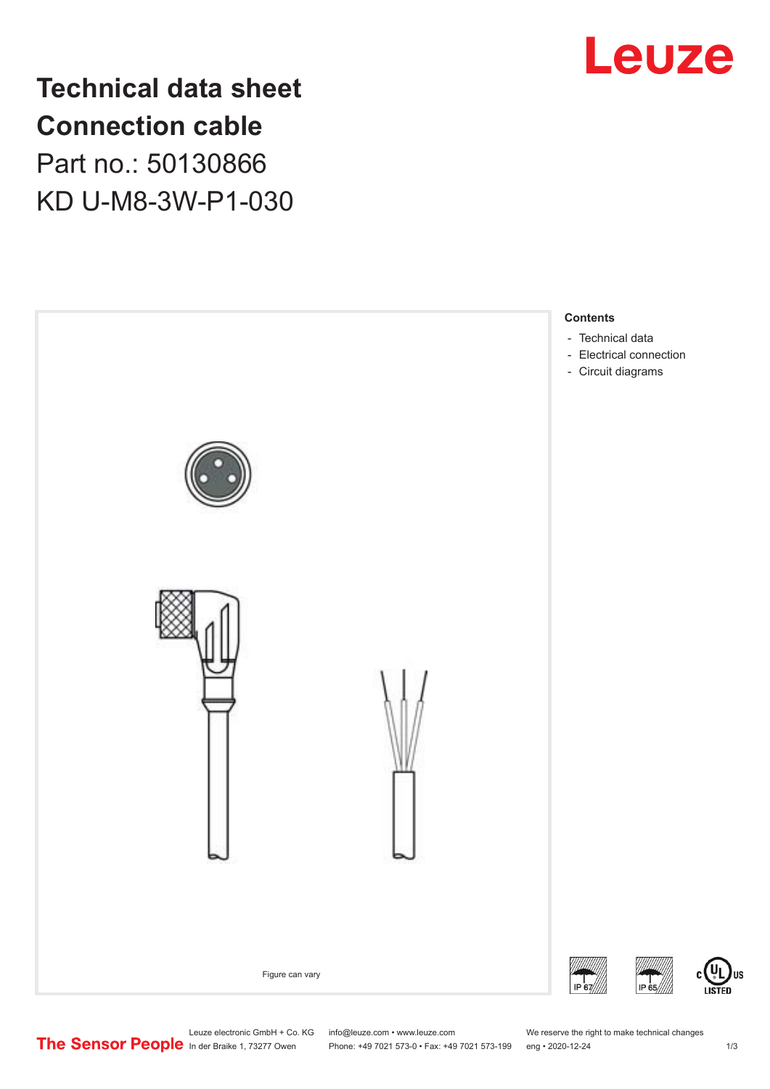

**Technical data sheet Connection cable** Part no.: 50130866 KD U-M8-3W-P1-030



Leuze electronic GmbH + Co. KG info@leuze.com • www.leuze.com We reserve the right to make technical changes<br>
The Sensor People in der Braike 1, 73277 Owen Phone: +49 7021 573-0 • Fax: +49 7021 573-199 eng • 2020-12-24

Phone: +49 7021 573-0 • Fax: +49 7021 573-199 eng • 2020-12-24 1 2020-12-24

US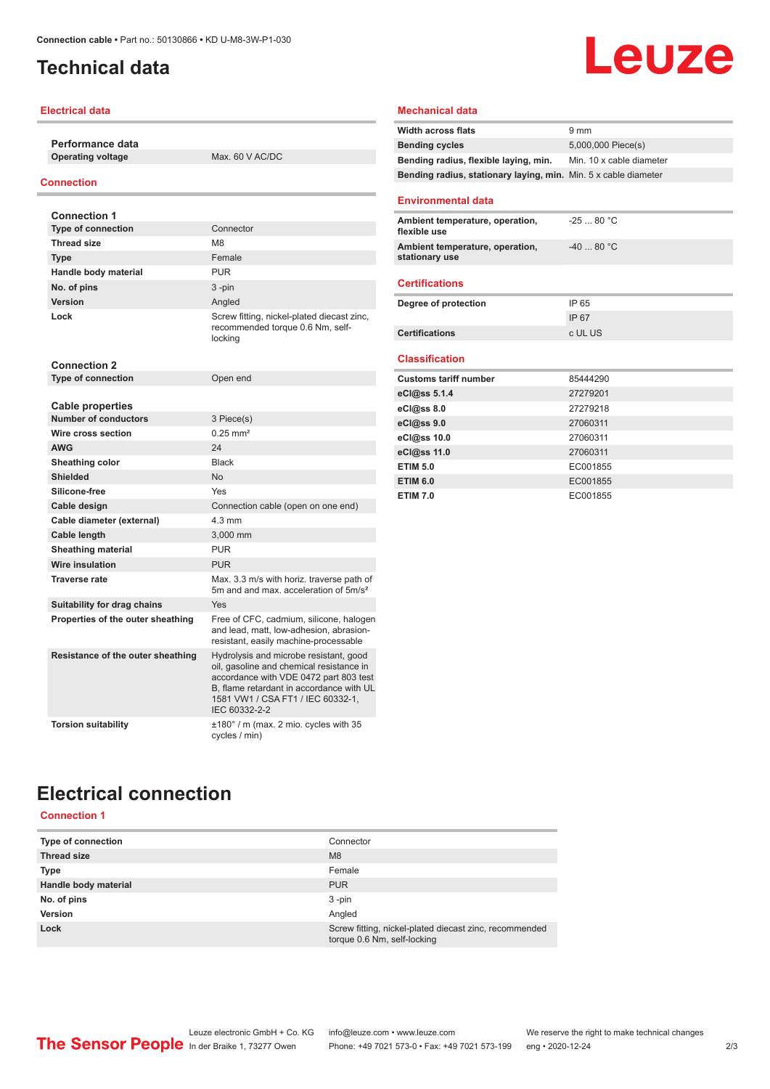## <span id="page-1-0"></span>**Technical data**

### **Electrical data**

**Performance data Operating voltage** Max. 60 V AC/DC

### **Connection**

| <b>Connection 1</b>               |                                                                                                                                                                                                                                |
|-----------------------------------|--------------------------------------------------------------------------------------------------------------------------------------------------------------------------------------------------------------------------------|
| <b>Type of connection</b>         | Connector                                                                                                                                                                                                                      |
| <b>Thread size</b>                | M <sub>8</sub>                                                                                                                                                                                                                 |
| <b>Type</b>                       | Female                                                                                                                                                                                                                         |
| Handle body material              | <b>PUR</b>                                                                                                                                                                                                                     |
| No. of pins                       | $3 - pin$                                                                                                                                                                                                                      |
| Version                           | Angled                                                                                                                                                                                                                         |
| Lock                              | Screw fitting, nickel-plated diecast zinc,<br>recommended torque 0.6 Nm, self-<br>locking                                                                                                                                      |
| <b>Connection 2</b>               |                                                                                                                                                                                                                                |
| <b>Type of connection</b>         | Open end                                                                                                                                                                                                                       |
|                                   |                                                                                                                                                                                                                                |
| <b>Cable properties</b>           |                                                                                                                                                                                                                                |
| <b>Number of conductors</b>       | 3 Piece(s)                                                                                                                                                                                                                     |
| Wire cross section                | $0.25$ mm <sup>2</sup>                                                                                                                                                                                                         |
| <b>AWG</b>                        | 24                                                                                                                                                                                                                             |
| Sheathing color                   | <b>Black</b>                                                                                                                                                                                                                   |
| <b>Shielded</b>                   | No                                                                                                                                                                                                                             |
| Silicone-free                     | Yes                                                                                                                                                                                                                            |
| Cable design                      | Connection cable (open on one end)                                                                                                                                                                                             |
| Cable diameter (external)         | $4.3 \text{ mm}$                                                                                                                                                                                                               |
| Cable length                      | 3,000 mm                                                                                                                                                                                                                       |
| <b>Sheathing material</b>         | <b>PUR</b>                                                                                                                                                                                                                     |
| <b>Wire insulation</b>            | <b>PUR</b>                                                                                                                                                                                                                     |
| <b>Traverse rate</b>              | Max. 3.3 m/s with horiz. traverse path of<br>5m and and max, acceleration of 5m/s <sup>2</sup>                                                                                                                                 |
| Suitability for drag chains       | Yes                                                                                                                                                                                                                            |
| Properties of the outer sheathing | Free of CFC, cadmium, silicone, halogen<br>and lead, matt, low-adhesion, abrasion-<br>resistant, easily machine-processable                                                                                                    |
| Resistance of the outer sheathing | Hydrolysis and microbe resistant, good<br>oil, gasoline and chemical resistance in<br>accordance with VDE 0472 part 803 test<br>B, flame retardant in accordance with UL<br>1581 VW1 / CSA FT1 / IEC 60332-1,<br>IEC 60332-2-2 |
| <b>Torsion suitability</b>        | ±180° / m (max. 2 mio. cycles with 35<br>cycles / min)                                                                                                                                                                         |

### **Mechanical data**

| <b>Width across flats</b>                                       | 9 <sub>mm</sub>          |
|-----------------------------------------------------------------|--------------------------|
| <b>Bending cycles</b>                                           | 5,000,000 Piece(s)       |
| Bending radius, flexible laying, min.                           | Min. 10 x cable diameter |
| Bending radius, stationary laying, min. Min. 5 x cable diameter |                          |
|                                                                 |                          |
| <b>Environmental data</b>                                       |                          |
| Ambient temperature, operation,<br>flexible use                 | $-2580 °C$               |
| Ambient temperature, operation,<br>stationary use               | $-4080 °C$               |
| <b>Certifications</b>                                           |                          |
| Degree of protection                                            | IP 65                    |
|                                                                 | <b>IP67</b>              |
| <b>Certifications</b>                                           | c UL US                  |
|                                                                 |                          |
| <b>Classification</b>                                           |                          |
| <b>Customs tariff number</b>                                    | 85444290                 |
| eCl@ss 5.1.4                                                    | 27279201                 |
| eCl@ss 8.0                                                      | 27279218                 |
| eCl@ss 9.0                                                      | 27060311                 |
| eCl@ss 10.0                                                     | 27060311                 |
| eCl@ss 11.0                                                     | 27060311                 |
| <b>ETIM 5.0</b>                                                 | EC001855                 |
| <b>ETIM 6.0</b>                                                 | EC001855                 |
| <b>ETIM 7.0</b>                                                 | EC001855                 |

Leuze

# **Electrical connection**

**Connection 1**

| <b>Type of connection</b> | Connector                                                                             |
|---------------------------|---------------------------------------------------------------------------------------|
| <b>Thread size</b>        | M8                                                                                    |
| <b>Type</b>               | Female                                                                                |
| Handle body material      | <b>PUR</b>                                                                            |
| No. of pins               | $3 - pin$                                                                             |
| <b>Version</b>            | Angled                                                                                |
| Lock                      | Screw fitting, nickel-plated diecast zinc, recommended<br>torque 0.6 Nm, self-locking |